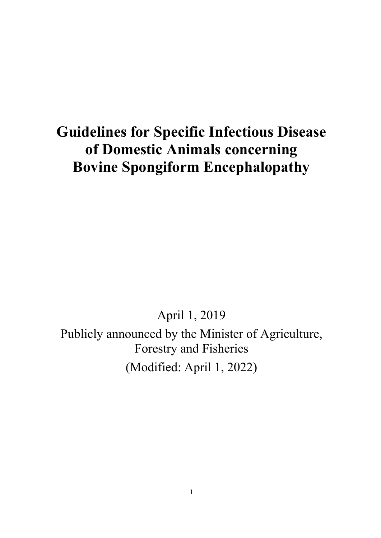# **Guidelines for Specific Infectious Disease of Domestic Animals concerning Bovine Spongiform Encephalopathy**

April 1, 2019

Publicly announced by the Minister of Agriculture, Forestry and Fisheries (Modified: April 1, 2022)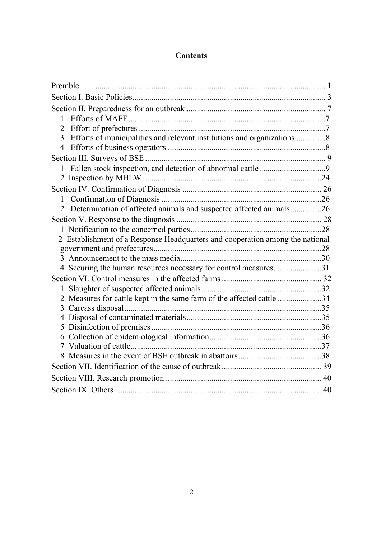# **Contents**

| 1                                                                                         |  |
|-------------------------------------------------------------------------------------------|--|
| $\overline{2}$                                                                            |  |
| Efforts of municipalities and relevant institutions and organizations 8<br>$\overline{3}$ |  |
|                                                                                           |  |
|                                                                                           |  |
|                                                                                           |  |
|                                                                                           |  |
| $\mathbf{1}$                                                                              |  |
| Determination of affected animals and suspected affected animals26<br>2                   |  |
|                                                                                           |  |
|                                                                                           |  |
| 2 Establishment of a Response Headquarters and cooperation among the national             |  |
|                                                                                           |  |
|                                                                                           |  |
| 4 Securing the human resources necessary for control measures31                           |  |
|                                                                                           |  |
|                                                                                           |  |
| 2 Measures for cattle kept in the same farm of the affected cattle 34                     |  |
|                                                                                           |  |
| 4                                                                                         |  |
| 5                                                                                         |  |
|                                                                                           |  |
|                                                                                           |  |
|                                                                                           |  |
|                                                                                           |  |
|                                                                                           |  |
|                                                                                           |  |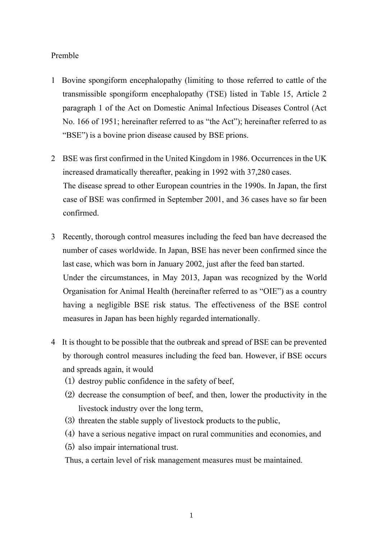## <span id="page-2-0"></span>Premble

- 1 Bovine spongiform encephalopathy (limiting to those referred to cattle of the transmissible spongiform encephalopathy (TSE) listed in Table 15, Article 2 paragraph 1 of the Act on Domestic Animal Infectious Diseases Control (Act No. 166 of 1951; hereinafter referred to as "the Act"); hereinafter referred to as "BSE") is a bovine prion disease caused by BSE prions.
- 2 BSE was first confirmed in the United Kingdom in 1986. Occurrences in the UK increased dramatically thereafter, peaking in 1992 with 37,280 cases. The disease spread to other European countries in the 1990s. In Japan, the first case of BSE was confirmed in September 2001, and 36 cases have so far been confirmed.
- 3 Recently, thorough control measures including the feed ban have decreased the number of cases worldwide. In Japan, BSE has never been confirmed since the last case, which was born in January 2002, just after the feed ban started. Under the circumstances, in May 2013, Japan was recognized by the World Organisation for Animal Health (hereinafter referred to as "OIE") as a country having a negligible BSE risk status. The effectiveness of the BSE control measures in Japan has been highly regarded internationally.
- 4 It is thought to be possible that the outbreak and spread of BSE can be prevented by thorough control measures including the feed ban. However, if BSE occurs and spreads again, it would
	- (1) destroy public confidence in the safety of beef,
	- (2) decrease the consumption of beef, and then, lower the productivity in the livestock industry over the long term,
	- (3) threaten the stable supply of livestock products to the public,
	- (4) have a serious negative impact on rural communities and economies, and
	- (5) also impair international trust.

Thus, a certain level of risk management measures must be maintained.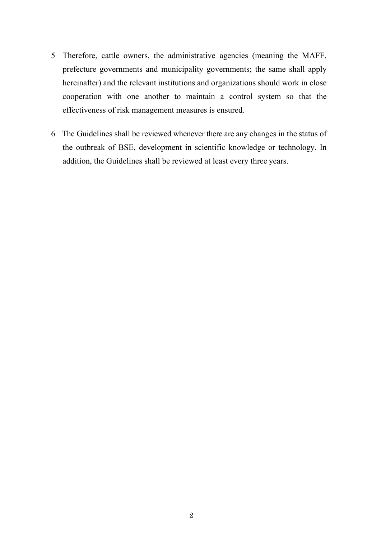- 5 Therefore, cattle owners, the administrative agencies (meaning the MAFF, prefecture governments and municipality governments; the same shall apply hereinafter) and the relevant institutions and organizations should work in close cooperation with one another to maintain a control system so that the effectiveness of risk management measures is ensured.
- 6 The Guidelines shall be reviewed whenever there are any changes in the status of the outbreak of BSE, development in scientific knowledge or technology. In addition, the Guidelines shall be reviewed at least every three years.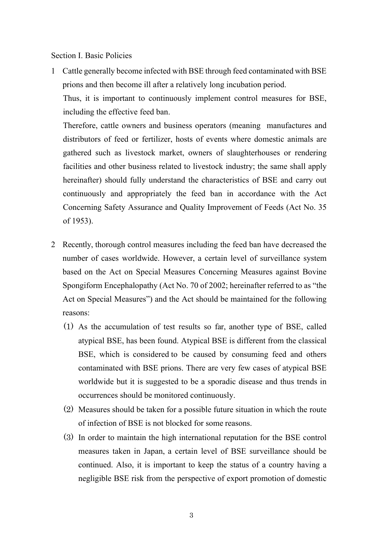<span id="page-4-0"></span>Section I. Basic Policies

1 Cattle generally become infected with BSE through feed contaminated with BSE prions and then become ill after a relatively long incubation period.

Thus, it is important to continuously implement control measures for BSE, including the effective feed ban.

Therefore, cattle owners and business operators (meaning manufactures and distributors of feed or fertilizer, hosts of events where domestic animals are gathered such as livestock market, owners of slaughterhouses or rendering facilities and other business related to livestock industry; the same shall apply hereinafter) should fully understand the characteristics of BSE and carry out continuously and appropriately the feed ban in accordance with the Act Concerning Safety Assurance and Quality Improvement of Feeds (Act No. 35 of 1953).

- 2 Recently, thorough control measures including the feed ban have decreased the number of cases worldwide. However, a certain level of surveillance system based on the Act on Special Measures Concerning Measures against Bovine Spongiform Encephalopathy (Act No. 70 of 2002; hereinafter referred to as "the Act on Special Measures") and the Act should be maintained for the following reasons:
	- (1) As the accumulation of test results so far, another type of BSE, called atypical BSE, has been found. Atypical BSE is different from the classical BSE, which is considered to be caused by consuming feed and others contaminated with BSE prions. There are very few cases of atypical BSE worldwide but it is suggested to be a sporadic disease and thus trends in occurrences should be monitored continuously.
	- (2) Measures should be taken for a possible future situation in which the route of infection of BSE is not blocked for some reasons.
	- (3) In order to maintain the high international reputation for the BSE control measures taken in Japan, a certain level of BSE surveillance should be continued. Also, it is important to keep the status of a country having a negligible BSE risk from the perspective of export promotion of domestic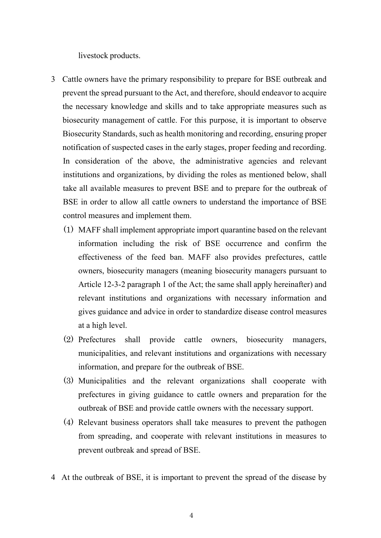livestock products.

- 3 Cattle owners have the primary responsibility to prepare for BSE outbreak and prevent the spread pursuant to the Act, and therefore, should endeavor to acquire the necessary knowledge and skills and to take appropriate measures such as biosecurity management of cattle. For this purpose, it is important to observe Biosecurity Standards, such as health monitoring and recording, ensuring proper notification of suspected cases in the early stages, proper feeding and recording. In consideration of the above, the administrative agencies and relevant institutions and organizations, by dividing the roles as mentioned below, shall take all available measures to prevent BSE and to prepare for the outbreak of BSE in order to allow all cattle owners to understand the importance of BSE control measures and implement them.
	- (1) MAFF shall implement appropriate import quarantine based on the relevant information including the risk of BSE occurrence and confirm the effectiveness of the feed ban. MAFF also provides prefectures, cattle owners, biosecurity managers (meaning biosecurity managers pursuant to Article 12-3-2 paragraph 1 of the Act; the same shall apply hereinafter) and relevant institutions and organizations with necessary information and gives guidance and advice in order to standardize disease control measures at a high level.
	- (2) Prefectures shall provide cattle owners, biosecurity managers, municipalities, and relevant institutions and organizations with necessary information, and prepare for the outbreak of BSE.
	- (3) Municipalities and the relevant organizations shall cooperate with prefectures in giving guidance to cattle owners and preparation for the outbreak of BSE and provide cattle owners with the necessary support.
	- (4) Relevant business operators shall take measures to prevent the pathogen from spreading, and cooperate with relevant institutions in measures to prevent outbreak and spread of BSE.
- 4 At the outbreak of BSE, it is important to prevent the spread of the disease by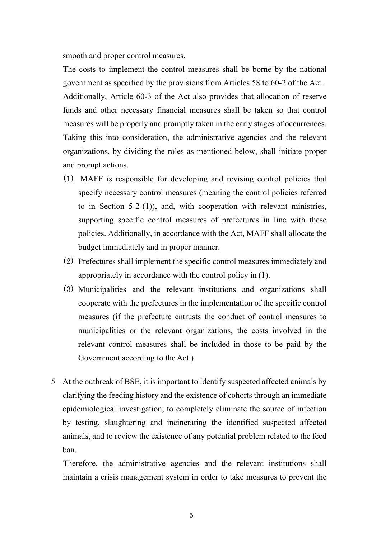smooth and proper control measures.

The costs to implement the control measures shall be borne by the national government as specified by the provisions from Articles 58 to 60-2 of the Act. Additionally, Article 60-3 of the Act also provides that allocation of reserve funds and other necessary financial measures shall be taken so that control measures will be properly and promptly taken in the early stages of occurrences. Taking this into consideration, the administrative agencies and the relevant organizations, by dividing the roles as mentioned below, shall initiate proper and prompt actions.

- (1) MAFF is responsible for developing and revising control policies that specify necessary control measures (meaning the control policies referred to in Section 5-2-(1)), and, with cooperation with relevant ministries, supporting specific control measures of prefectures in line with these policies. Additionally, in accordance with the Act, MAFF shall allocate the budget immediately and in proper manner.
- (2) Prefectures shall implement the specific control measures immediately and appropriately in accordance with the control policy in (1).
- (3) Municipalities and the relevant institutions and organizations shall cooperate with the prefectures in the implementation of the specific control measures (if the prefecture entrusts the conduct of control measures to municipalities or the relevant organizations, the costs involved in the relevant control measures shall be included in those to be paid by the Government according to the Act.)
- 5 At the outbreak of BSE, it is important to identify suspected affected animals by clarifying the feeding history and the existence of cohorts through an immediate epidemiological investigation, to completely eliminate the source of infection by testing, slaughtering and incinerating the identified suspected affected animals, and to review the existence of any potential problem related to the feed ban.

Therefore, the administrative agencies and the relevant institutions shall maintain a crisis management system in order to take measures to prevent the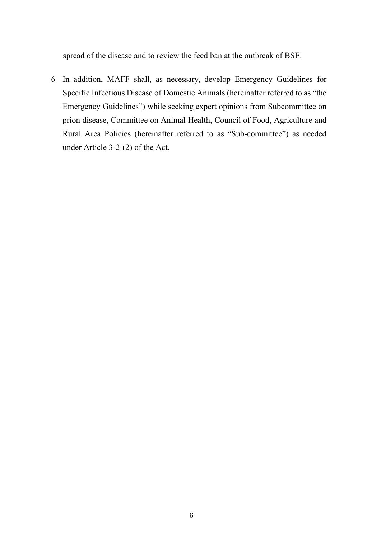spread of the disease and to review the feed ban at the outbreak of BSE.

6 In addition, MAFF shall, as necessary, develop Emergency Guidelines for Specific Infectious Disease of Domestic Animals (hereinafter referred to as "the Emergency Guidelines") while seeking expert opinions from Subcommittee on prion disease, Committee on Animal Health, Council of Food, Agriculture and Rural Area Policies (hereinafter referred to as "Sub-committee") as needed under Article 3-2-(2) of the Act.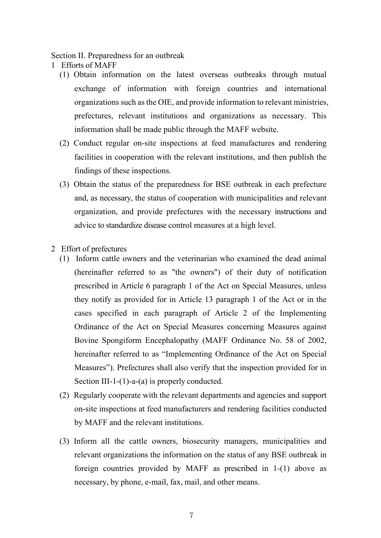#### <span id="page-8-0"></span>Section II. Preparedness for an outbreak

- <span id="page-8-1"></span>1 Efforts of MAFF
	- (1) Obtain information on the latest overseas outbreaks through mutual exchange of information with foreign countries and international organizations such as the OIE, and provide information to relevant ministries, prefectures, relevant institutions and organizations as necessary. This information shall be made public through the MAFF website.
	- (2) Conduct regular on-site inspections at feed manufactures and rendering facilities in cooperation with the relevant institutions, and then publish the findings of these inspections.
	- (3) Obtain the status of the preparedness for BSE outbreak in each prefecture and, as necessary, the status of cooperation with municipalities and relevant organization, and provide prefectures with the necessary instructions and advice to standardize disease control measures at a high level.
- <span id="page-8-2"></span>2 Effort of prefectures
	- (1) Inform cattle owners and the veterinarian who examined the dead animal (hereinafter referred to as "the owners") of their duty of notification prescribed in Article 6 paragraph 1 of the Act on Special Measures, unless they notify as provided for in Article 13 paragraph 1 of the Act or in the cases specified in each paragraph of Article 2 of the Implementing Ordinance of the Act on Special Measures concerning Measures against Bovine Spongiform Encephalopathy (MAFF Ordinance No. 58 of 2002, hereinafter referred to as "Implementing Ordinance of the Act on Special Measures"). Prefectures shall also verify that the inspection provided for in Section III-1-(1)-a-(a) is properly conducted.
	- (2) Regularly cooperate with the relevant departments and agencies and support on-site inspections at feed manufacturers and rendering facilities conducted by MAFF and the relevant institutions.
	- (3) Inform all the cattle owners, biosecurity managers, municipalities and relevant organizations the information on the status of any BSE outbreak in foreign countries provided by MAFF as prescribed in 1-(1) above as necessary, by phone, e-mail, fax, mail, and other means.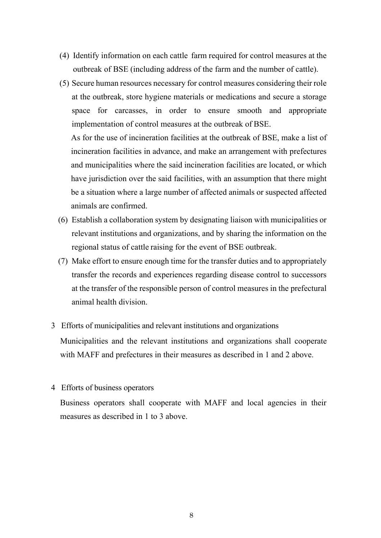- (4) Identify information on each cattle farm required for control measures at the outbreak of BSE (including address of the farm and the number of cattle).
- (5) Secure human resources necessary for control measures considering their role at the outbreak, store hygiene materials or medications and secure a storage space for carcasses, in order to ensure smooth and appropriate implementation of control measures at the outbreak of BSE.

As for the use of incineration facilities at the outbreak of BSE, make a list of incineration facilities in advance, and make an arrangement with prefectures and municipalities where the said incineration facilities are located, or which have jurisdiction over the said facilities, with an assumption that there might be a situation where a large number of affected animals or suspected affected animals are confirmed.

- (6) Establish a collaboration system by designating liaison with municipalities or relevant institutions and organizations, and by sharing the information on the regional status of cattle raising for the event of BSE outbreak.
- (7) Make effort to ensure enough time for the transfer duties and to appropriately transfer the records and experiences regarding disease control to successors at the transfer of the responsible person of control measures in the prefectural animal health division.
- <span id="page-9-0"></span>3 Efforts of municipalities and relevant institutions and organizations Municipalities and the relevant institutions and organizations shall cooperate with MAFF and prefectures in their measures as described in 1 and 2 above.
- <span id="page-9-1"></span>4 Efforts of business operators

Business operators shall cooperate with MAFF and local agencies in their measures as described in 1 to 3 above.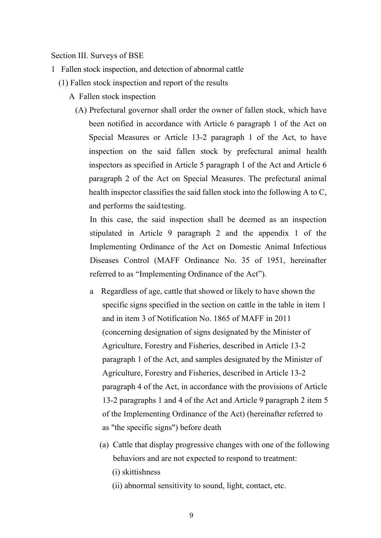<span id="page-10-0"></span>Section III. Surveys of BSE

- <span id="page-10-1"></span>1 Fallen stock inspection, and detection of abnormal cattle
	- (1) Fallen stock inspection and report of the results
		- A Fallen stock inspection
			- (A) Prefectural governor shall order the owner of fallen stock, which have been notified in accordance with Article 6 paragraph 1 of the Act on Special Measures or Article 13-2 paragraph 1 of the Act, to have inspection on the said fallen stock by prefectural animal health inspectors as specified in Article 5 paragraph 1 of the Act and Article 6 paragraph 2 of the Act on Special Measures. The prefectural animal health inspector classifies the said fallen stock into the following A to C, and performs the saidtesting.

In this case, the said inspection shall be deemed as an inspection stipulated in Article 9 paragraph 2 and the appendix 1 of the Implementing Ordinance of the Act on Domestic Animal Infectious Diseases Control (MAFF Ordinance No. 35 of 1951, hereinafter referred to as "Implementing Ordinance of the Act").

- a Regardless of age, cattle that showed or likely to have shown the specific signs specified in the section on cattle in the table in item 1 and in item 3 of Notification No. 1865 of MAFF in 2011 (concerning designation of signs designated by the Minister of Agriculture, Forestry and Fisheries, described in Article 13-2 paragraph 1 of the Act, and samples designated by the Minister of Agriculture, Forestry and Fisheries, described in Article 13-2 paragraph 4 of the Act, in accordance with the provisions of Article 13-2 paragraphs 1 and 4 of the Act and Article 9 paragraph 2 item 5 of the Implementing Ordinance of the Act) (hereinafter referred to as "the specific signs") before death
	- (a) Cattle that display progressive changes with one of the following behaviors and are not expected to respond to treatment: (i) skittishness
		- (ii) abnormal sensitivity to sound, light, contact, etc.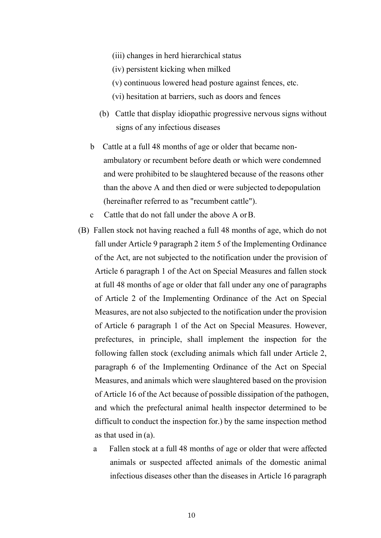- (iii) changes in herd hierarchical status
- (iv) persistent kicking when milked
- (v) continuous lowered head posture against fences, etc.
- (vi) hesitation at barriers, such as doors and fences
- (b) Cattle that display idiopathic progressive nervous signs without signs of any infectious diseases
- b Cattle at a full 48 months of age or older that became nonambulatory or recumbent before death or which were condemned and were prohibited to be slaughtered because of the reasons other than the above A and then died or were subjected todepopulation (hereinafter referred to as "recumbent cattle").
- c Cattle that do not fall under the above A orB.
- (B) Fallen stock not having reached a full 48 months of age, which do not fall under Article 9 paragraph 2 item 5 of the Implementing Ordinance of the Act, are not subjected to the notification under the provision of Article 6 paragraph 1 of the Act on Special Measures and fallen stock at full 48 months of age or older that fall under any one of paragraphs of Article 2 of the Implementing Ordinance of the Act on Special Measures, are not also subjected to the notification under the provision of Article 6 paragraph 1 of the Act on Special Measures. However, prefectures, in principle, shall implement the inspection for the following fallen stock (excluding animals which fall under Article 2, paragraph 6 of the Implementing Ordinance of the Act on Special Measures, and animals which were slaughtered based on the provision of Article 16 of the Act because of possible dissipation of the pathogen, and which the prefectural animal health inspector determined to be difficult to conduct the inspection for.) by the same inspection method as that used in (a).
	- a Fallen stock at a full 48 months of age or older that were affected animals or suspected affected animals of the domestic animal infectious diseases other than the diseases in Article 16 paragraph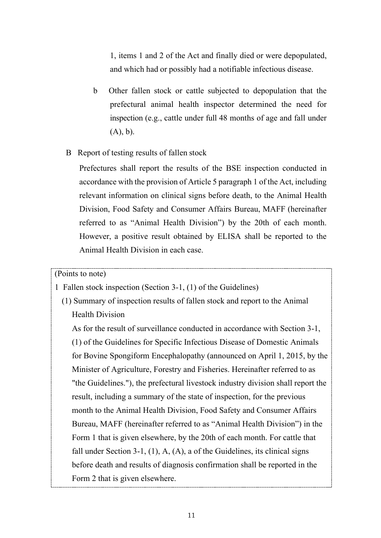1, items 1 and 2 of the Act and finally died or were depopulated, and which had or possibly had a notifiable infectious disease.

- b Other fallen stock or cattle subjected to depopulation that the prefectural animal health inspector determined the need for inspection (e.g., cattle under full 48 months of age and fall under (A), b).
- B Report of testing results of fallen stock

Prefectures shall report the results of the BSE inspection conducted in accordance with the provision of Article 5 paragraph 1 of the Act, including relevant information on clinical signs before death, to the Animal Health Division, Food Safety and Consumer Affairs Bureau, MAFF (hereinafter referred to as "Animal Health Division") by the 20th of each month. However, a positive result obtained by ELISA shall be reported to the Animal Health Division in each case.

#### (Points to note)

- 1 Fallen stock inspection (Section 3-1, (1) of the Guidelines)
	- (1) Summary of inspection results of fallen stock and report to the Animal Health Division

As for the result of surveillance conducted in accordance with Section 3-1, (1) of the Guidelines for Specific Infectious Disease of Domestic Animals for Bovine Spongiform Encephalopathy (announced on April 1, 2015, by the Minister of Agriculture, Forestry and Fisheries. Hereinafter referred to as "the Guidelines."), the prefectural livestock industry division shall report the result, including a summary of the state of inspection, for the previous month to the Animal Health Division, Food Safety and Consumer Affairs Bureau, MAFF (hereinafter referred to as "Animal Health Division") in the Form 1 that is given elsewhere, by the 20th of each month. For cattle that fall under Section 3-1,  $(1)$ , A,  $(A)$ , a of the Guidelines, its clinical signs before death and results of diagnosis confirmation shall be reported in the Form 2 that is given elsewhere.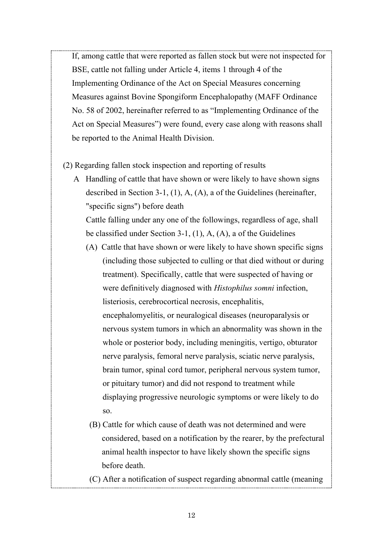If, among cattle that were reported as fallen stock but were not inspected for BSE, cattle not falling under Article 4, items 1 through 4 of the Implementing Ordinance of the Act on Special Measures concerning Measures against Bovine Spongiform Encephalopathy (MAFF Ordinance No. 58 of 2002, hereinafter referred to as "Implementing Ordinance of the Act on Special Measures") were found, every case along with reasons shall be reported to the Animal Health Division.

(2) Regarding fallen stock inspection and reporting of results

A Handling of cattle that have shown or were likely to have shown signs described in Section 3-1, (1), A, (A), a of the Guidelines (hereinafter, "specific signs") before death

Cattle falling under any one of the followings, regardless of age, shall be classified under Section 3-1, (1), A, (A), a of the Guidelines

- (A) Cattle that have shown or were likely to have shown specific signs (including those subjected to culling or that died without or during treatment). Specifically, cattle that were suspected of having or were definitively diagnosed with *Histophilus somni* infection, listeriosis, cerebrocortical necrosis, encephalitis, encephalomyelitis, or neuralogical diseases (neuroparalysis or nervous system tumors in which an abnormality was shown in the whole or posterior body, including meningitis, vertigo, obturator nerve paralysis, femoral nerve paralysis, sciatic nerve paralysis, brain tumor, spinal cord tumor, peripheral nervous system tumor, or pituitary tumor) and did not respond to treatment while displaying progressive neurologic symptoms or were likely to do so.
- (B) Cattle for which cause of death was not determined and were considered, based on a notification by the rearer, by the prefectural animal health inspector to have likely shown the specific signs before death.

(C) After a notification of suspect regarding abnormal cattle (meaning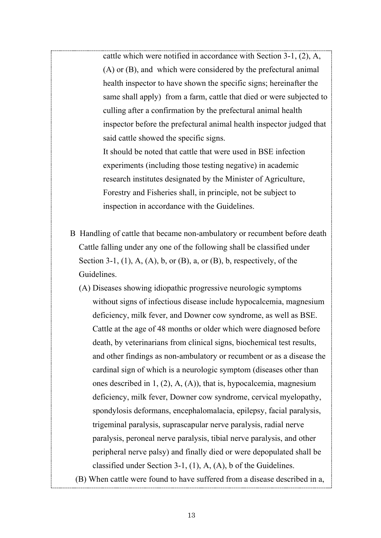cattle which were notified in accordance with Section 3-1, (2), A, (A) or (B), and which were considered by the prefectural animal health inspector to have shown the specific signs; hereinafter the same shall apply) from a farm, cattle that died or were subjected to culling after a confirmation by the prefectural animal health inspector before the prefectural animal health inspector judged that said cattle showed the specific signs.

It should be noted that cattle that were used in BSE infection experiments (including those testing negative) in academic research institutes designated by the Minister of Agriculture, Forestry and Fisheries shall, in principle, not be subject to inspection in accordance with the Guidelines.

- B Handling of cattle that became non-ambulatory or recumbent before death Cattle falling under any one of the following shall be classified under Section 3-1, (1), A, (A), b, or (B), a, or (B), b, respectively, of the Guidelines.
	- (A) Diseases showing idiopathic progressive neurologic symptoms without signs of infectious disease include hypocalcemia, magnesium deficiency, milk fever, and Downer cow syndrome, as well as BSE. Cattle at the age of 48 months or older which were diagnosed before death, by veterinarians from clinical signs, biochemical test results, and other findings as non-ambulatory or recumbent or as a disease the cardinal sign of which is a neurologic symptom (diseases other than ones described in 1, (2), A, (A)), that is, hypocalcemia, magnesium deficiency, milk fever, Downer cow syndrome, cervical myelopathy, spondylosis deformans, encephalomalacia, epilepsy, facial paralysis, trigeminal paralysis, suprascapular nerve paralysis, radial nerve paralysis, peroneal nerve paralysis, tibial nerve paralysis, and other peripheral nerve palsy) and finally died or were depopulated shall be classified under Section 3-1, (1), A, (A), b of the Guidelines.
- (B) When cattle were found to have suffered from a disease described in a,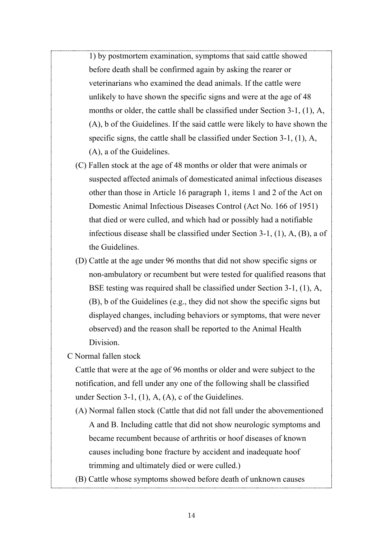1) by postmortem examination, symptoms that said cattle showed before death shall be confirmed again by asking the rearer or veterinarians who examined the dead animals. If the cattle were unlikely to have shown the specific signs and were at the age of 48 months or older, the cattle shall be classified under Section 3-1, (1), A, (A), b of the Guidelines. If the said cattle were likely to have shown the specific signs, the cattle shall be classified under Section 3-1, (1), A, (A), a of the Guidelines.

- (C) Fallen stock at the age of 48 months or older that were animals or suspected affected animals of domesticated animal infectious diseases other than those in Article 16 paragraph 1, items 1 and 2 of the Act on Domestic Animal Infectious Diseases Control (Act No. 166 of 1951) that died or were culled, and which had or possibly had a notifiable infectious disease shall be classified under Section 3-1, (1), A, (B), a of the Guidelines.
- (D) Cattle at the age under 96 months that did not show specific signs or non-ambulatory or recumbent but were tested for qualified reasons that BSE testing was required shall be classified under Section 3-1, (1), A, (B), b of the Guidelines (e.g., they did not show the specific signs but displayed changes, including behaviors or symptoms, that were never observed) and the reason shall be reported to the Animal Health Division.
- C Normal fallen stock

Cattle that were at the age of 96 months or older and were subject to the notification, and fell under any one of the following shall be classified under Section 3-1, (1), A, (A), c of the Guidelines.

- (A) Normal fallen stock (Cattle that did not fall under the abovementioned A and B. Including cattle that did not show neurologic symptoms and became recumbent because of arthritis or hoof diseases of known causes including bone fracture by accident and inadequate hoof trimming and ultimately died or were culled.)
- (B) Cattle whose symptoms showed before death of unknown causes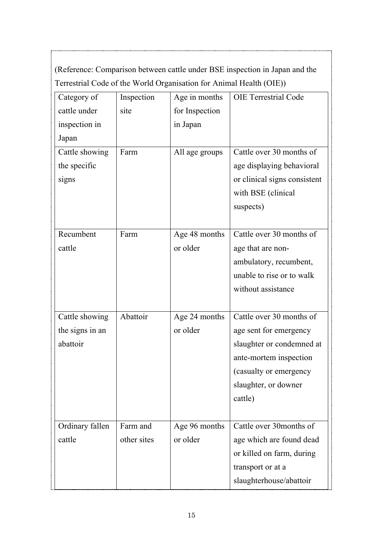(Reference: Comparison between cattle under BSE inspection in Japan and the Terrestrial Code of the World Organisation for Animal Health (OIE))

| Category of     | Inspection  | Age in months  | <b>OIE</b> Terrestrial Code  |
|-----------------|-------------|----------------|------------------------------|
| cattle under    | site        | for Inspection |                              |
| inspection in   |             | in Japan       |                              |
| Japan           |             |                |                              |
| Cattle showing  | Farm        | All age groups | Cattle over 30 months of     |
| the specific    |             |                | age displaying behavioral    |
| signs           |             |                | or clinical signs consistent |
|                 |             |                | with BSE (clinical           |
|                 |             |                | suspects)                    |
|                 |             |                |                              |
| Recumbent       | Farm        | Age 48 months  | Cattle over 30 months of     |
| cattle          |             | or older       | age that are non-            |
|                 |             |                | ambulatory, recumbent,       |
|                 |             |                | unable to rise or to walk    |
|                 |             |                | without assistance           |
|                 |             |                |                              |
| Cattle showing  | Abattoir    | Age 24 months  | Cattle over 30 months of     |
| the signs in an |             | or older       | age sent for emergency       |
| abattoir        |             |                | slaughter or condemned at    |
|                 |             |                | ante-mortem inspection       |
|                 |             |                | (casualty or emergency       |
|                 |             |                | slaughter, or downer         |
|                 |             |                | cattle)                      |
|                 |             |                |                              |
| Ordinary fallen | Farm and    | Age 96 months  | Cattle over 30 months of     |
| cattle          | other sites | or older       | age which are found dead     |
|                 |             |                | or killed on farm, during    |
|                 |             |                | transport or at a            |
|                 |             |                | slaughterhouse/abattoir      |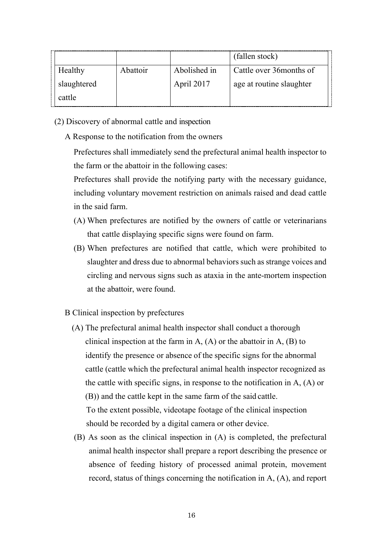|             |          |              | (fallen stock)           |
|-------------|----------|--------------|--------------------------|
| Healthy     | Abattoir | Abolished in | Cattle over 36 months of |
| slaughtered |          | April 2017   | age at routine slaughter |
| cattle      |          |              |                          |

- (2) Discovery of abnormal cattle and inspection
	- A Response to the notification from the owners

Prefectures shall immediately send the prefectural animal health inspector to the farm or the abattoir in the following cases:

Prefectures shall provide the notifying party with the necessary guidance, including voluntary movement restriction on animals raised and dead cattle in the said farm.

- (A) When prefectures are notified by the owners of cattle or veterinarians that cattle displaying specific signs were found on farm.
- (B) When prefectures are notified that cattle, which were prohibited to slaughter and dress due to abnormal behaviors such as strange voices and circling and nervous signs such as ataxia in the ante-mortem inspection at the abattoir, were found.
- B Clinical inspection by prefectures
	- (A) The prefectural animal health inspector shall conduct a thorough clinical inspection at the farm in A,  $(A)$  or the abattoir in A,  $(B)$  to identify the presence or absence of the specific signs for the abnormal cattle (cattle which the prefectural animal health inspector recognized as the cattle with specific signs, in response to the notification in A, (A) or (B)) and the cattle kept in the same farm of the said cattle. To the extent possible, videotape footage of the clinical inspection should be recorded by a digital camera or other device.
	- (B) As soon as the clinical inspection in (A) is completed, the prefectural animal health inspector shall prepare a report describing the presence or absence of feeding history of processed animal protein, movement record, status of things concerning the notification in A, (A), and report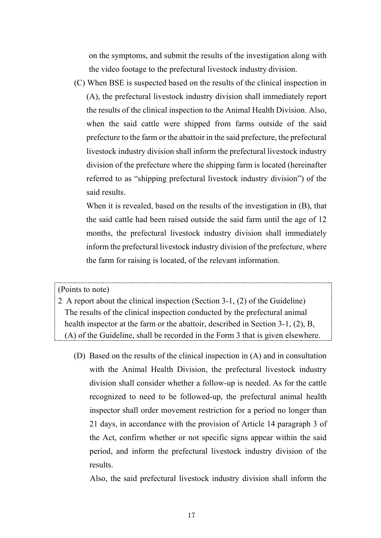on the symptoms, and submit the results of the investigation along with the video footage to the prefectural livestock industry division.

(C) When BSE is suspected based on the results of the clinical inspection in (A), the prefectural livestock industry division shall immediately report the results of the clinical inspection to the Animal Health Division. Also, when the said cattle were shipped from farms outside of the said prefecture to the farm or the abattoir in the said prefecture, the prefectural livestock industry division shall inform the prefectural livestock industry division of the prefecture where the shipping farm is located (hereinafter referred to as "shipping prefectural livestock industry division") of the said results.

When it is revealed, based on the results of the investigation in (B), that the said cattle had been raised outside the said farm until the age of 12 months, the prefectural livestock industry division shall immediately inform the prefectural livestock industry division of the prefecture, where the farm for raising is located, of the relevant information.

(Points to note)

2 A report about the clinical inspection (Section 3-1, (2) of the Guideline) The results of the clinical inspection conducted by the prefectural animal health inspector at the farm or the abattoir, described in Section 3-1, (2), B, (A) of the Guideline, shall be recorded in the Form 3 that is given elsewhere.

(D) Based on the results of the clinical inspection in (A) and in consultation with the Animal Health Division, the prefectural livestock industry division shall consider whether a follow-up is needed. As for the cattle recognized to need to be followed-up, the prefectural animal health inspector shall order movement restriction for a period no longer than 21 days, in accordance with the provision of Article 14 paragraph 3 of the Act, confirm whether or not specific signs appear within the said period, and inform the prefectural livestock industry division of the results.

Also, the said prefectural livestock industry division shall inform the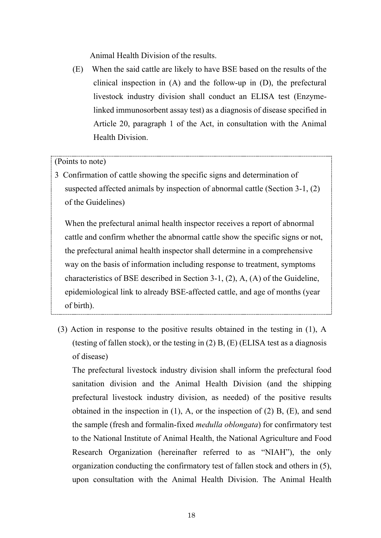Animal Health Division of the results.

(E) When the said cattle are likely to have BSE based on the results of the clinical inspection in (A) and the follow-up in (D), the prefectural livestock industry division shall conduct an ELISA test (Enzymelinked immunosorbent assay test) as a diagnosis of disease specified in Article 20, paragraph 1 of the Act, in consultation with the Animal Health Division.

## (Points to note)

3 Confirmation of cattle showing the specific signs and determination of suspected affected animals by inspection of abnormal cattle (Section 3-1, (2) of the Guidelines)

When the prefectural animal health inspector receives a report of abnormal cattle and confirm whether the abnormal cattle show the specific signs or not, the prefectural animal health inspector shall determine in a comprehensive way on the basis of information including response to treatment, symptoms characteristics of BSE described in Section 3-1, (2), A, (A) of the Guideline, epidemiological link to already BSE-affected cattle, and age of months (year of birth).

(3) Action in response to the positive results obtained in the testing in (1), A (testing of fallen stock), or the testing in  $(2)$  B,  $(E)$  (ELISA test as a diagnosis of disease)

The prefectural livestock industry division shall inform the prefectural food sanitation division and the Animal Health Division (and the shipping prefectural livestock industry division, as needed) of the positive results obtained in the inspection in (1), A, or the inspection of (2) B, (E), and send the sample (fresh and formalin-fixed *medulla oblongata*) for confirmatory test to the National Institute of Animal Health, the National Agriculture and Food Research Organization (hereinafter referred to as "NIAH"), the only organization conducting the confirmatory test of fallen stock and others in (5), upon consultation with the Animal Health Division. The Animal Health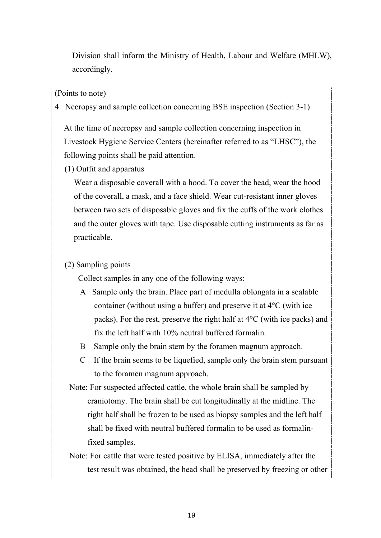Division shall inform the Ministry of Health, Labour and Welfare (MHLW), accordingly.

(Points to note)

4 Necropsy and sample collection concerning BSE inspection (Section 3-1)

At the time of necropsy and sample collection concerning inspection in Livestock Hygiene Service Centers (hereinafter referred to as "LHSC"), the following points shall be paid attention.

(1) Outfit and apparatus

Wear a disposable coverall with a hood. To cover the head, wear the hood of the coverall, a mask, and a face shield. Wear cut-resistant inner gloves between two sets of disposable gloves and fix the cuffs of the work clothes and the outer gloves with tape. Use disposable cutting instruments as far as practicable.

## (2) Sampling points

Collect samples in any one of the following ways:

- A Sample only the brain. Place part of medulla oblongata in a sealable container (without using a buffer) and preserve it at 4°C (with ice packs). For the rest, preserve the right half at 4°C (with ice packs) and fix the left half with 10% neutral buffered formalin.
- B Sample only the brain stem by the foramen magnum approach.
- C If the brain seems to be liquefied, sample only the brain stem pursuant to the foramen magnum approach.
- Note: For suspected affected cattle, the whole brain shall be sampled by craniotomy. The brain shall be cut longitudinally at the midline. The right half shall be frozen to be used as biopsy samples and the left half shall be fixed with neutral buffered formalin to be used as formalinfixed samples.

Note: For cattle that were tested positive by ELISA, immediately after the test result was obtained, the head shall be preserved by freezing or other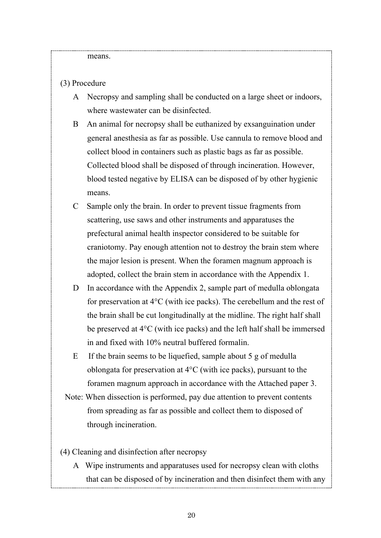means.

#### (3) Procedure

- A Necropsy and sampling shall be conducted on a large sheet or indoors, where wastewater can be disinfected.
- B An animal for necropsy shall be euthanized by exsanguination under general anesthesia as far as possible. Use cannula to remove blood and collect blood in containers such as plastic bags as far as possible. Collected blood shall be disposed of through incineration. However, blood tested negative by ELISA can be disposed of by other hygienic means.
- C Sample only the brain. In order to prevent tissue fragments from scattering, use saws and other instruments and apparatuses the prefectural animal health inspector considered to be suitable for craniotomy. Pay enough attention not to destroy the brain stem where the major lesion is present. When the foramen magnum approach is adopted, collect the brain stem in accordance with the Appendix 1.
- D In accordance with the Appendix 2, sample part of medulla oblongata for preservation at 4°C (with ice packs). The cerebellum and the rest of the brain shall be cut longitudinally at the midline. The right half shall be preserved at 4°C (with ice packs) and the left half shall be immersed in and fixed with 10% neutral buffered formalin.
- E If the brain seems to be liquefied, sample about 5 g of medulla oblongata for preservation at 4°C (with ice packs), pursuant to the foramen magnum approach in accordance with the Attached paper 3.
- Note: When dissection is performed, pay due attention to prevent contents from spreading as far as possible and collect them to disposed of through incineration.
- (4) Cleaning and disinfection after necropsy
	- A Wipe instruments and apparatuses used for necropsy clean with cloths that can be disposed of by incineration and then disinfect them with any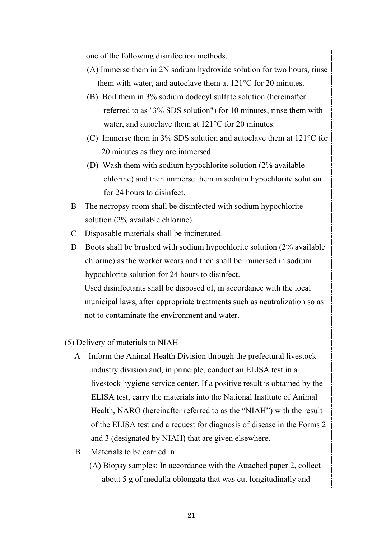one of the following disinfection methods.

- (A) Immerse them in 2N sodium hydroxide solution for two hours, rinse them with water, and autoclave them at 121°C for 20 minutes.
- (B) Boil them in 3% sodium dodecyl sulfate solution (hereinafter referred to as "3% SDS solution") for 10 minutes, rinse them with water, and autoclave them at 121°C for 20 minutes.
- (C) Immerse them in 3% SDS solution and autoclave them at 121°C for 20 minutes as they are immersed.
- (D) Wash them with sodium hypochlorite solution (2% available chlorine) and then immerse them in sodium hypochlorite solution for 24 hours to disinfect.
- B The necropsy room shall be disinfected with sodium hypochlorite solution (2% available chlorine).
- C Disposable materials shall be incinerated.
- D Boots shall be brushed with sodium hypochlorite solution (2% available chlorine) as the worker wears and then shall be immersed in sodium hypochlorite solution for 24 hours to disinfect. Used disinfectants shall be disposed of, in accordance with the local

municipal laws, after appropriate treatments such as neutralization so as not to contaminate the environment and water.

#### (5) Delivery of materials to NIAH

- A Inform the Animal Health Division through the prefectural livestock industry division and, in principle, conduct an ELISA test in a livestock hygiene service center. If a positive result is obtained by the ELISA test, carry the materials into the National Institute of Animal Health, NARO (hereinafter referred to as the "NIAH") with the result of the ELISA test and a request for diagnosis of disease in the Forms 2 and 3 (designated by NIAH) that are given elsewhere.
- B Materials to be carried in
	- (A) Biopsy samples: In accordance with the Attached paper 2, collect about 5 g of medulla oblongata that was cut longitudinally and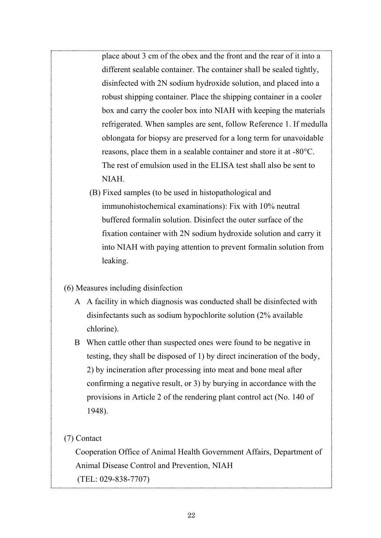place about 3 cm of the obex and the front and the rear of it into a different sealable container. The container shall be sealed tightly, disinfected with 2N sodium hydroxide solution, and placed into a robust shipping container. Place the shipping container in a cooler box and carry the cooler box into NIAH with keeping the materials refrigerated. When samples are sent, follow Reference 1. If medulla oblongata for biopsy are preserved for a long term for unavoidable reasons, place them in a sealable container and store it at -80°C. The rest of emulsion used in the ELISA test shall also be sent to NIAH.

(B) Fixed samples (to be used in histopathological and immunohistochemical examinations): Fix with 10% neutral buffered formalin solution. Disinfect the outer surface of the fixation container with 2N sodium hydroxide solution and carry it into NIAH with paying attention to prevent formalin solution from leaking.

#### (6) Measures including disinfection

- A A facility in which diagnosis was conducted shall be disinfected with disinfectants such as sodium hypochlorite solution (2% available chlorine).
- B When cattle other than suspected ones were found to be negative in testing, they shall be disposed of 1) by direct incineration of the body, 2) by incineration after processing into meat and bone meal after confirming a negative result, or 3) by burying in accordance with the provisions in Article 2 of the rendering plant control act (No. 140 of 1948).

#### (7) Contact

Cooperation Office of Animal Health Government Affairs, Department of Animal Disease Control and Prevention, NIAH (TEL: 029-838-7707)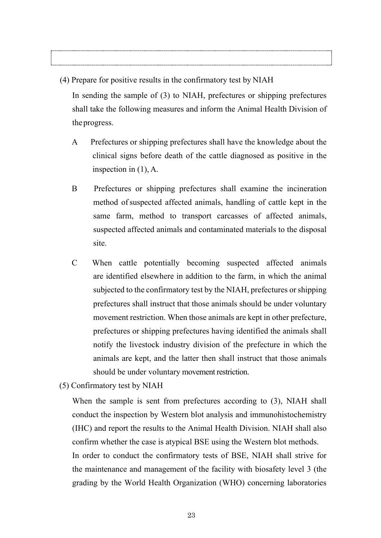(4) Prepare for positive results in the confirmatory test by NIAH In sending the sample of (3) to NIAH, prefectures or shipping prefectures

shall take the following measures and inform the Animal Health Division of theprogress.

- A Prefectures or shipping prefectures shall have the knowledge about the clinical signs before death of the cattle diagnosed as positive in the inspection in (1), A.
- B Prefectures or shipping prefectures shall examine the incineration method of suspected affected animals, handling of cattle kept in the same farm, method to transport carcasses of affected animals, suspected affected animals and contaminated materials to the disposal site.
- C When cattle potentially becoming suspected affected animals are identified elsewhere in addition to the farm, in which the animal subjected to the confirmatory test by the NIAH, prefectures or shipping prefectures shall instruct that those animals should be under voluntary movement restriction. When those animals are kept in other prefecture, prefectures or shipping prefectures having identified the animals shall notify the livestock industry division of the prefecture in which the animals are kept, and the latter then shall instruct that those animals should be under voluntary movement restriction.
- (5) Confirmatory test by NIAH

When the sample is sent from prefectures according to (3), NIAH shall conduct the inspection by Western blot analysis and immunohistochemistry (IHC) and report the results to the Animal Health Division. NIAH shall also confirm whether the case is atypical BSE using the Western blot methods. In order to conduct the confirmatory tests of BSE, NIAH shall strive for the maintenance and management of the facility with biosafety level 3 (the grading by the World Health Organization (WHO) concerning laboratories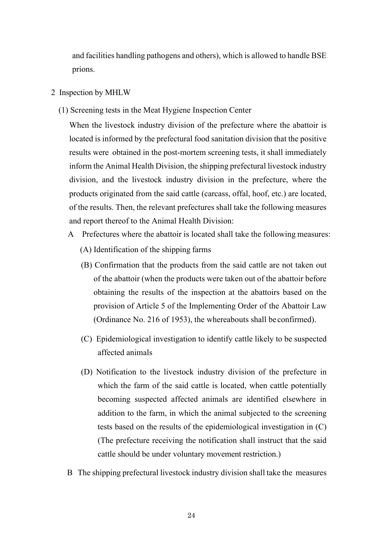and facilities handling pathogens and others), which is allowed to handle BSE prions.

- <span id="page-25-0"></span>2 Inspection by MHLW
	- (1) Screening tests in the Meat Hygiene Inspection Center

When the livestock industry division of the prefecture where the abattoir is located is informed by the prefectural food sanitation division that the positive results were obtained in the post-mortem screening tests, it shall immediately inform the Animal Health Division, the shipping prefectural livestock industry division, and the livestock industry division in the prefecture, where the products originated from the said cattle (carcass, offal, hoof, etc.) are located, of the results. Then, the relevant prefectures shall take the following measures and report thereof to the Animal Health Division:

- A Prefectures where the abattoir is located shall take the following measures: (A) Identification of the shipping farms
	- (B) Confirmation that the products from the said cattle are not taken out of the abattoir (when the products were taken out of the abattoir before obtaining the results of the inspection at the abattoirs based on the provision of Article 5 of the Implementing Order of the Abattoir Law (Ordinance No. 216 of 1953), the whereabouts shall be confirmed).
	- (C) Epidemiological investigation to identify cattle likely to be suspected affected animals
	- (D) Notification to the livestock industry division of the prefecture in which the farm of the said cattle is located, when cattle potentially becoming suspected affected animals are identified elsewhere in addition to the farm, in which the animal subjected to the screening tests based on the results of the epidemiological investigation in (C) (The prefecture receiving the notification shall instruct that the said cattle should be under voluntary movement restriction.)
- B The shipping prefectural livestock industry division shall take the measures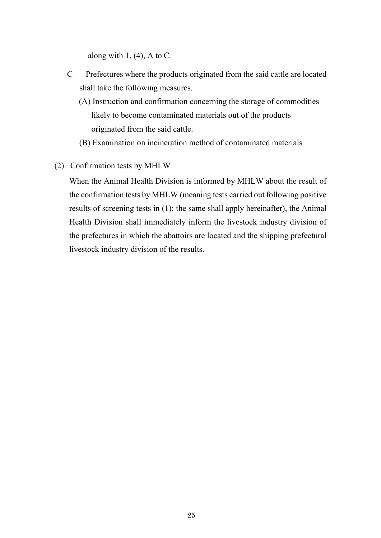along with  $1, (4)$ , A to C.

- C Prefectures where the products originated from the said cattle are located shall take the following measures.
	- (A) Instruction and confirmation concerning the storage of commodities likely to become contaminated materials out of the products originated from the said cattle.
	- (B) Examination on incineration method of contaminated materials
- (2) Confirmation tests by MHLW

When the Animal Health Division is informed by MHLW about the result of the confirmation tests by MHLW (meaning tests carried out following positive results of screening tests in (1); the same shall apply hereinafter), the Animal Health Division shall immediately inform the livestock industry division of the prefectures in which the abattoirs are located and the shipping prefectural livestock industry division of the results.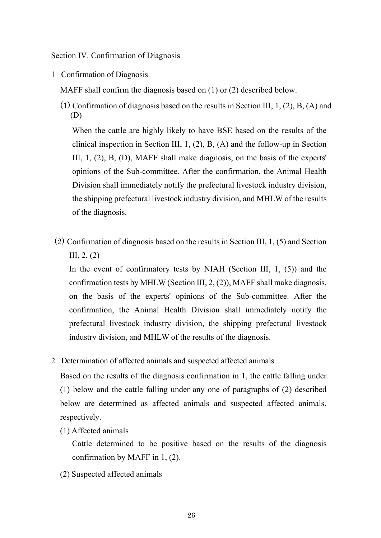<span id="page-27-0"></span>Section IV. Confirmation of Diagnosis

<span id="page-27-1"></span>1 Confirmation of Diagnosis

MAFF shall confirm the diagnosis based on (1) or (2) described below.

(1) Confirmation of diagnosis based on the results in Section III, 1, (2), B, (A) and (D)

When the cattle are highly likely to have BSE based on the results of the clinical inspection in Section III, 1, (2), B, (A) and the follow-up in Section III, 1, (2), B, (D), MAFF shall make diagnosis, on the basis of the experts' opinions of the Sub-committee. After the confirmation, the Animal Health Division shall immediately notify the prefectural livestock industry division, the shipping prefectural livestock industry division, and MHLW of the results of the diagnosis.

(2) Confirmation of diagnosis based on the results in Section III, 1, (5) and Section III, 2, (2)

In the event of confirmatory tests by NIAH (Section III, 1, (5)) and the confirmation tests by MHLW (Section III, 2, (2)), MAFF shall make diagnosis, on the basis of the experts' opinions of the Sub-committee. After the confirmation, the Animal Health Division shall immediately notify the prefectural livestock industry division, the shipping prefectural livestock industry division, and MHLW of the results of the diagnosis.

<span id="page-27-2"></span>2 Determination of affected animals and suspected affected animals

Based on the results of the diagnosis confirmation in 1, the cattle falling under (1) below and the cattle falling under any one of paragraphs of (2) described below are determined as affected animals and suspected affected animals, respectively.

(1) Affected animals

Cattle determined to be positive based on the results of the diagnosis confirmation by MAFF in 1, (2).

(2) Suspected affected animals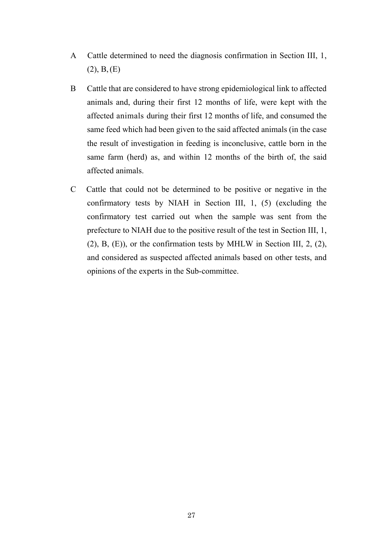- A Cattle determined to need the diagnosis confirmation in Section III, 1,  $(2), B, (E)$
- B Cattle that are considered to have strong epidemiological link to affected animals and, during their first 12 months of life, were kept with the affected animals during their first 12 months of life, and consumed the same feed which had been given to the said affected animals (in the case the result of investigation in feeding is inconclusive, cattle born in the same farm (herd) as, and within 12 months of the birth of, the said affected animals.
- C Cattle that could not be determined to be positive or negative in the confirmatory tests by NIAH in Section III, 1, (5) (excluding the confirmatory test carried out when the sample was sent from the prefecture to NIAH due to the positive result of the test in Section III, 1, (2), B, (E)), or the confirmation tests by MHLW in Section III, 2, (2), and considered as suspected affected animals based on other tests, and opinions of the experts in the Sub-committee.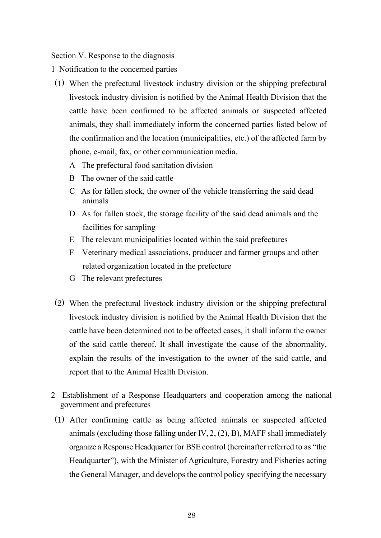<span id="page-29-0"></span>Section V. Response to the diagnosis

- <span id="page-29-1"></span>1 Notification to the concerned parties
- (1) When the prefectural livestock industry division or the shipping prefectural livestock industry division is notified by the Animal Health Division that the cattle have been confirmed to be affected animals or suspected affected animals, they shall immediately inform the concerned parties listed below of the confirmation and the location (municipalities, etc.) of the affected farm by phone, e-mail, fax, or other communication media.
	- A The prefectural food sanitation division
	- B The owner of the said cattle
	- C As for fallen stock, the owner of the vehicle transferring the said dead animals
	- D As for fallen stock, the storage facility of the said dead animals and the facilities for sampling
	- E The relevant municipalities located within the said prefectures
	- F Veterinary medical associations, producer and farmer groups and other related organization located in the prefecture
	- G The relevant prefectures
- (2) When the prefectural livestock industry division or the shipping prefectural livestock industry division is notified by the Animal Health Division that the cattle have been determined not to be affected cases, it shall inform the owner of the said cattle thereof. It shall investigate the cause of the abnormality, explain the results of the investigation to the owner of the said cattle, and report that to the Animal Health Division.
- <span id="page-29-2"></span>2 Establishment of a Response Headquarters and cooperation among the national government and prefectures
- (1) After confirming cattle as being affected animals or suspected affected animals (excluding those falling under IV, 2, (2), B), MAFF shall immediately organize a Response Headquarter for BSE control (hereinafter referred to as "the Headquarter"), with the Minister of Agriculture, Forestry and Fisheries acting the General Manager, and develops the control policy specifying the necessary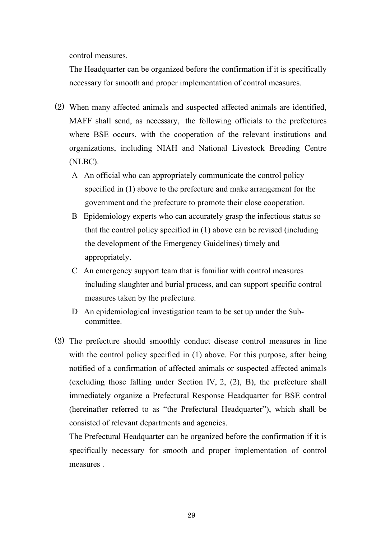control measures.

The Headquarter can be organized before the confirmation if it is specifically necessary for smooth and proper implementation of control measures.

- (2) When many affected animals and suspected affected animals are identified, MAFF shall send, as necessary, the following officials to the prefectures where BSE occurs, with the cooperation of the relevant institutions and organizations, including NIAH and National Livestock Breeding Centre (NLBC).
	- A An official who can appropriately communicate the control policy specified in (1) above to the prefecture and make arrangement for the government and the prefecture to promote their close cooperation.
	- B Epidemiology experts who can accurately grasp the infectious status so that the control policy specified in (1) above can be revised (including the development of the Emergency Guidelines) timely and appropriately.
	- C An emergency support team that is familiar with control measures including slaughter and burial process, and can support specific control measures taken by the prefecture.
	- D An epidemiological investigation team to be set up under the Subcommittee.
- (3) The prefecture should smoothly conduct disease control measures in line with the control policy specified in (1) above. For this purpose, after being notified of a confirmation of affected animals or suspected affected animals (excluding those falling under Section IV, 2, (2), B), the prefecture shall immediately organize a Prefectural Response Headquarter for BSE control (hereinafter referred to as "the Prefectural Headquarter"), which shall be consisted of relevant departments and agencies.

The Prefectural Headquarter can be organized before the confirmation if it is specifically necessary for smooth and proper implementation of control measures .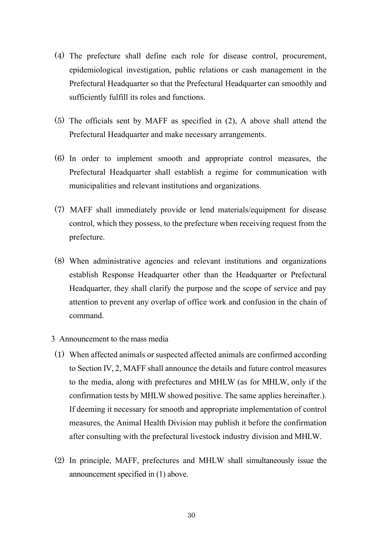- (4) The prefecture shall define each role for disease control, procurement, epidemiological investigation, public relations or cash management in the Prefectural Headquarter so that the Prefectural Headquarter can smoothly and sufficiently fulfill its roles and functions.
- (5) The officials sent by MAFF as specified in (2), A above shall attend the Prefectural Headquarter and make necessary arrangements.
- (6) In order to implement smooth and appropriate control measures, the Prefectural Headquarter shall establish a regime for communication with municipalities and relevant institutions and organizations.
- (7) MAFF shall immediately provide or lend materials/equipment for disease control, which they possess, to the prefecture when receiving request from the prefecture.
- (8) When administrative agencies and relevant institutions and organizations establish Response Headquarter other than the Headquarter or Prefectural Headquarter, they shall clarify the purpose and the scope of service and pay attention to prevent any overlap of office work and confusion in the chain of command.
- <span id="page-31-0"></span>3 Announcement to the mass media
- (1) When affected animals or suspected affected animals are confirmed according to Section IV, 2, MAFF shall announce the details and future control measures to the media, along with prefectures and MHLW (as for MHLW, only if the confirmation tests by MHLW showed positive. The same applies hereinafter.). If deeming it necessary for smooth and appropriate implementation of control measures, the Animal Health Division may publish it before the confirmation after consulting with the prefectural livestock industry division and MHLW.
- (2) In principle, MAFF, prefectures and MHLW shall simultaneously issue the announcement specified in (1) above.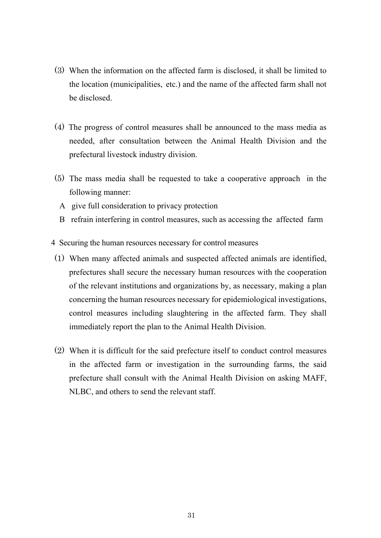- (3) When the information on the affected farm is disclosed, it shall be limited to the location (municipalities, etc.) and the name of the affected farm shall not be disclosed.
- (4) The progress of control measures shall be announced to the mass media as needed, after consultation between the Animal Health Division and the prefectural livestock industry division.
- (5) The mass media shall be requested to take a cooperative approach in the following manner:
	- A give full consideration to privacy protection
	- B refrain interfering in control measures, such as accessing the affected farm
- <span id="page-32-0"></span>4 Securing the human resources necessary for control measures
- (1) When many affected animals and suspected affected animals are identified, prefectures shall secure the necessary human resources with the cooperation of the relevant institutions and organizations by, as necessary, making a plan concerning the human resources necessary for epidemiological investigations, control measures including slaughtering in the affected farm. They shall immediately report the plan to the Animal Health Division.
- (2) When it is difficult for the said prefecture itself to conduct control measures in the affected farm or investigation in the surrounding farms, the said prefecture shall consult with the Animal Health Division on asking MAFF, NLBC, and others to send the relevant staff.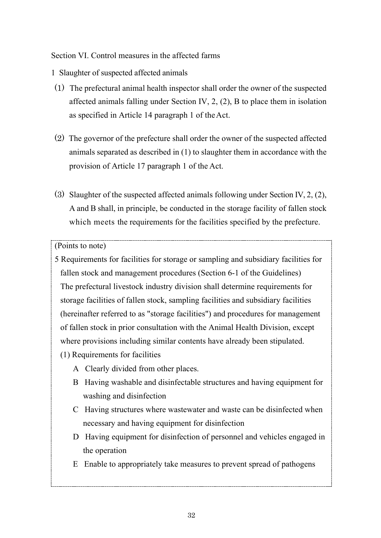<span id="page-33-0"></span>Section VI. Control measures in the affected farms

- <span id="page-33-1"></span>1 Slaughter of suspected affected animals
- (1) The prefectural animal health inspector shall order the owner of the suspected affected animals falling under Section IV, 2, (2), B to place them in isolation as specified in Article 14 paragraph 1 of theAct.
- (2) The governor of the prefecture shall order the owner of the suspected affected animals separated as described in (1) to slaughter them in accordance with the provision of Article 17 paragraph 1 of the Act.
- (3) Slaughter of the suspected affected animals following under Section IV, 2, (2), A and B shall, in principle, be conducted in the storage facility of fallen stock which meets the requirements for the facilities specified by the prefecture.

#### (Points to note)

- 5 Requirements for facilities for storage or sampling and subsidiary facilities for fallen stock and management procedures (Section 6-1 of the Guidelines) The prefectural livestock industry division shall determine requirements for storage facilities of fallen stock, sampling facilities and subsidiary facilities (hereinafter referred to as "storage facilities") and procedures for management of fallen stock in prior consultation with the Animal Health Division, except where provisions including similar contents have already been stipulated.
	- (1) Requirements for facilities
		- A Clearly divided from other places.
		- B Having washable and disinfectable structures and having equipment for washing and disinfection
		- C Having structures where wastewater and waste can be disinfected when necessary and having equipment for disinfection
		- D Having equipment for disinfection of personnel and vehicles engaged in the operation
		- E Enable to appropriately take measures to prevent spread of pathogens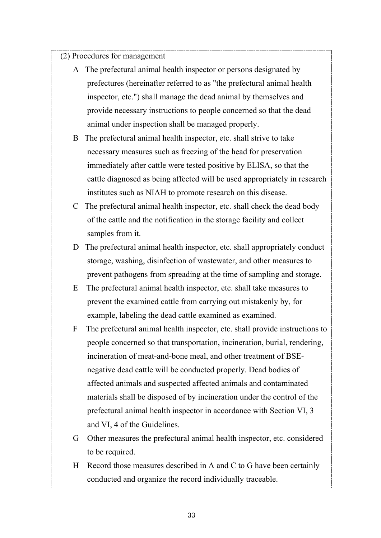(2) Procedures for management

- A The prefectural animal health inspector or persons designated by prefectures (hereinafter referred to as "the prefectural animal health inspector, etc.") shall manage the dead animal by themselves and provide necessary instructions to people concerned so that the dead animal under inspection shall be managed properly.
- B The prefectural animal health inspector, etc. shall strive to take necessary measures such as freezing of the head for preservation immediately after cattle were tested positive by ELISA, so that the cattle diagnosed as being affected will be used appropriately in research institutes such as NIAH to promote research on this disease.
- C The prefectural animal health inspector, etc. shall check the dead body of the cattle and the notification in the storage facility and collect samples from it.
- D The prefectural animal health inspector, etc. shall appropriately conduct storage, washing, disinfection of wastewater, and other measures to prevent pathogens from spreading at the time of sampling and storage.
- E The prefectural animal health inspector, etc. shall take measures to prevent the examined cattle from carrying out mistakenly by, for example, labeling the dead cattle examined as examined.
- F The prefectural animal health inspector, etc. shall provide instructions to people concerned so that transportation, incineration, burial, rendering, incineration of meat-and-bone meal, and other treatment of BSEnegative dead cattle will be conducted properly. Dead bodies of affected animals and suspected affected animals and contaminated materials shall be disposed of by incineration under the control of the prefectural animal health inspector in accordance with Section VI, 3 and VI, 4 of the Guidelines.
- G Other measures the prefectural animal health inspector, etc. considered to be required.
- H Record those measures described in A and C to G have been certainly conducted and organize the record individually traceable.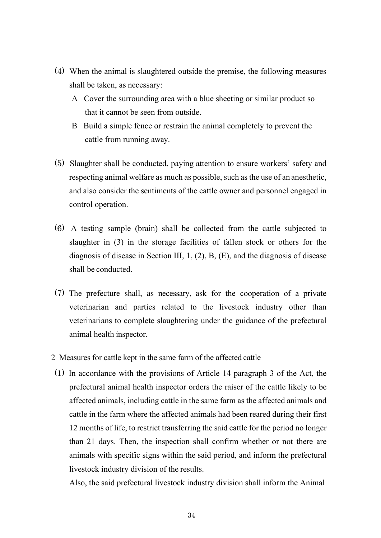- (4) When the animal is slaughtered outside the premise, the following measures shall be taken, as necessary:
	- A Cover the surrounding area with a blue sheeting or similar product so that it cannot be seen from outside.
	- B Build a simple fence or restrain the animal completely to prevent the cattle from running away.
- (5) Slaughter shall be conducted, paying attention to ensure workers' safety and respecting animal welfare as much as possible, such as the use of an anesthetic, and also consider the sentiments of the cattle owner and personnel engaged in control operation.
- (6) A testing sample (brain) shall be collected from the cattle subjected to slaughter in (3) in the storage facilities of fallen stock or others for the diagnosis of disease in Section III, 1, (2), B, (E), and the diagnosis of disease shall be conducted.
- (7) The prefecture shall, as necessary, ask for the cooperation of a private veterinarian and parties related to the livestock industry other than veterinarians to complete slaughtering under the guidance of the prefectural animal health inspector.
- <span id="page-35-0"></span>2 Measures for cattle kept in the same farm of the affected cattle
- (1) In accordance with the provisions of Article 14 paragraph 3 of the Act, the prefectural animal health inspector orders the raiser of the cattle likely to be affected animals, including cattle in the same farm as the affected animals and cattle in the farm where the affected animals had been reared during their first 12 months of life, to restrict transferring the said cattle for the period no longer than 21 days. Then, the inspection shall confirm whether or not there are animals with specific signs within the said period, and inform the prefectural livestock industry division of the results.

Also, the said prefectural livestock industry division shall inform the Animal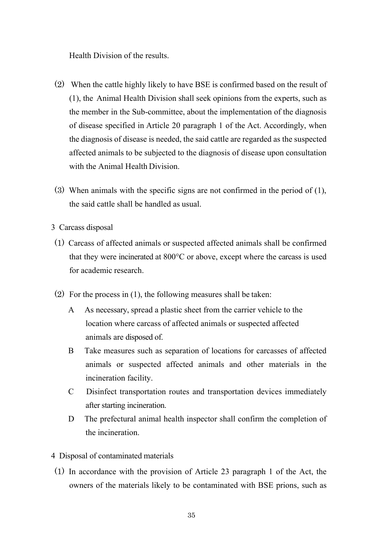Health Division of the results.

- (2) When the cattle highly likely to have BSE is confirmed based on the result of (1), the Animal Health Division shall seek opinions from the experts, such as the member in the Sub-committee, about the implementation of the diagnosis of disease specified in Article 20 paragraph 1 of the Act. Accordingly, when the diagnosis of disease is needed, the said cattle are regarded as the suspected affected animals to be subjected to the diagnosis of disease upon consultation with the Animal Health Division.
- (3) When animals with the specific signs are not confirmed in the period of (1), the said cattle shall be handled as usual.
- <span id="page-36-0"></span>3 Carcass disposal
- (1) Carcass of affected animals or suspected affected animals shall be confirmed that they were incinerated at 800°C or above, except where the carcass is used for academic research.
- (2) For the process in (1), the following measures shall be taken:
	- A As necessary, spread a plastic sheet from the carrier vehicle to the location where carcass of affected animals or suspected affected animals are disposed of.
	- B Take measures such as separation of locations for carcasses of affected animals or suspected affected animals and other materials in the incineration facility.
	- C Disinfect transportation routes and transportation devices immediately after starting incineration.
	- D The prefectural animal health inspector shall confirm the completion of the incineration.
- <span id="page-36-1"></span>4 Disposal of contaminated materials
- (1) In accordance with the provision of Article 23 paragraph 1 of the Act, the owners of the materials likely to be contaminated with BSE prions, such as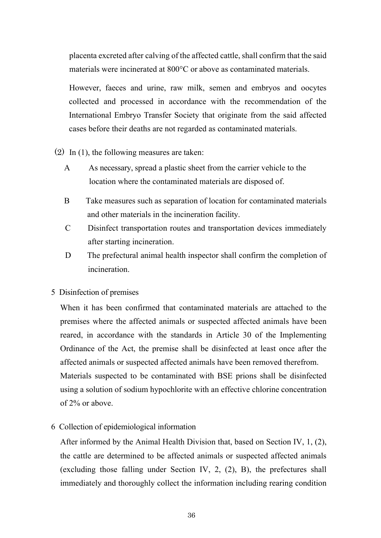placenta excreted after calving of the affected cattle, shall confirm that the said materials were incinerated at 800°C or above as contaminated materials.

However, faeces and urine, raw milk, semen and embryos and oocytes collected and processed in accordance with the recommendation of the International Embryo Transfer Society that originate from the said affected cases before their deaths are not regarded as contaminated materials.

- (2) In (1), the following measures are taken:
	- A As necessary, spread a plastic sheet from the carrier vehicle to the location where the contaminated materials are disposed of.
	- B Take measures such as separation of location for contaminated materials and other materials in the incineration facility.
	- C Disinfect transportation routes and transportation devices immediately after starting incineration.
	- D The prefectural animal health inspector shall confirm the completion of incineration.
- <span id="page-37-0"></span>5 Disinfection of premises

When it has been confirmed that contaminated materials are attached to the premises where the affected animals or suspected affected animals have been reared, in accordance with the standards in Article 30 of the Implementing Ordinance of the Act, the premise shall be disinfected at least once after the affected animals or suspected affected animals have been removed therefrom. Materials suspected to be contaminated with BSE prions shall be disinfected using a solution of sodium hypochlorite with an effective chlorine concentration of 2% or above.

<span id="page-37-1"></span>6 Collection of epidemiological information

After informed by the Animal Health Division that, based on Section IV, 1, (2), the cattle are determined to be affected animals or suspected affected animals (excluding those falling under Section IV, 2, (2), B), the prefectures shall immediately and thoroughly collect the information including rearing condition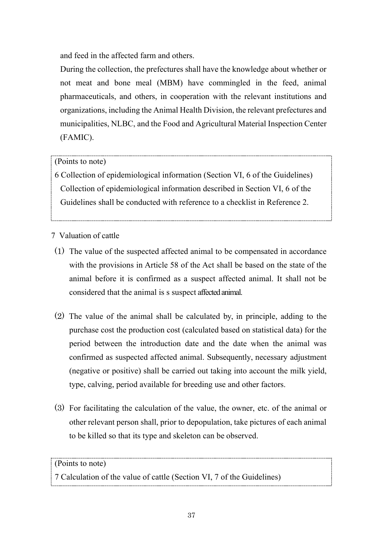and feed in the affected farm and others.

During the collection, the prefectures shall have the knowledge about whether or not meat and bone meal (MBM) have commingled in the feed, animal pharmaceuticals, and others, in cooperation with the relevant institutions and organizations, including the Animal Health Division, the relevant prefectures and municipalities, NLBC, and the Food and Agricultural Material Inspection Center (FAMIC).

# (Points to note)

6 Collection of epidemiological information (Section VI, 6 of the Guidelines) Collection of epidemiological information described in Section VI, 6 of the Guidelines shall be conducted with reference to a checklist in Reference 2.

<span id="page-38-0"></span>7 Valuation of cattle

- (1) The value of the suspected affected animal to be compensated in accordance with the provisions in Article 58 of the Act shall be based on the state of the animal before it is confirmed as a suspect affected animal. It shall not be considered that the animal is s suspect affected animal.
- (2) The value of the animal shall be calculated by, in principle, adding to the purchase cost the production cost (calculated based on statistical data) for the period between the introduction date and the date when the animal was confirmed as suspected affected animal. Subsequently, necessary adjustment (negative or positive) shall be carried out taking into account the milk yield, type, calving, period available for breeding use and other factors.
- (3) For facilitating the calculation of the value, the owner, etc. of the animal or other relevant person shall, prior to depopulation, take pictures of each animal to be killed so that its type and skeleton can be observed.

# (Points to note)

7 Calculation of the value of cattle (Section VI, 7 of the Guidelines)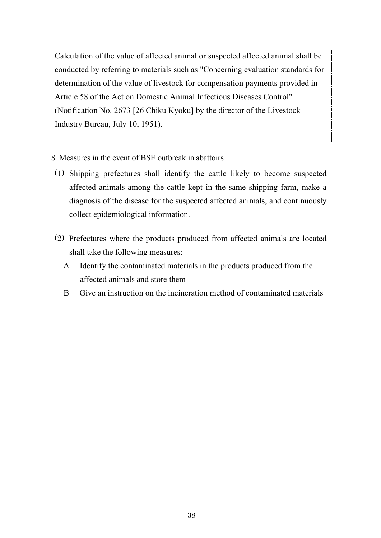Calculation of the value of affected animal or suspected affected animal shall be conducted by referring to materials such as "Concerning evaluation standards for determination of the value of livestock for compensation payments provided in Article 58 of the Act on Domestic Animal Infectious Diseases Control" (Notification No. 2673 [26 Chiku Kyoku] by the director of the Livestock Industry Bureau, July 10, 1951).

- <span id="page-39-0"></span>8 Measures in the event of BSE outbreak in abattoirs
- (1) Shipping prefectures shall identify the cattle likely to become suspected affected animals among the cattle kept in the same shipping farm, make a diagnosis of the disease for the suspected affected animals, and continuously collect epidemiological information.
- (2) Prefectures where the products produced from affected animals are located shall take the following measures:
	- A Identify the contaminated materials in the products produced from the affected animals and store them
	- B Give an instruction on the incineration method of contaminated materials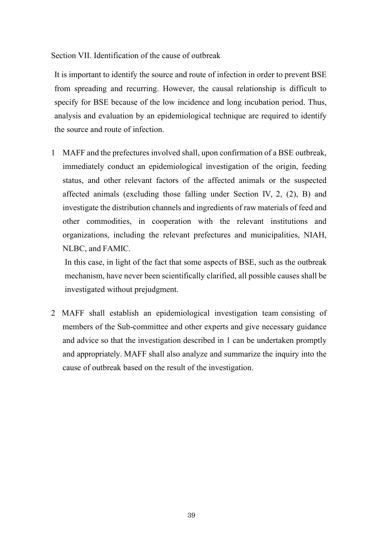<span id="page-40-0"></span>Section VII. Identification of the cause of outbreak

It is important to identify the source and route of infection in order to prevent BSE from spreading and recurring. However, the causal relationship is difficult to specify for BSE because of the low incidence and long incubation period. Thus, analysis and evaluation by an epidemiological technique are required to identify the source and route of infection.

1 MAFF and the prefectures involved shall, upon confirmation of a BSE outbreak, immediately conduct an epidemiological investigation of the origin, feeding status, and other relevant factors of the affected animals or the suspected affected animals (excluding those falling under Section IV, 2, (2), B) and investigate the distribution channels and ingredients of raw materials of feed and other commodities, in cooperation with the relevant institutions and organizations, including the relevant prefectures and municipalities, NIAH, NLBC, and FAMIC.

In this case, in light of the fact that some aspects of BSE, such as the outbreak mechanism, have never been scientifically clarified, all possible causes shall be investigated without prejudgment.

2 MAFF shall establish an epidemiological investigation team consisting of members of the Sub-committee and other experts and give necessary guidance and advice so that the investigation described in 1 can be undertaken promptly and appropriately. MAFF shall also analyze and summarize the inquiry into the cause of outbreak based on the result of the investigation.